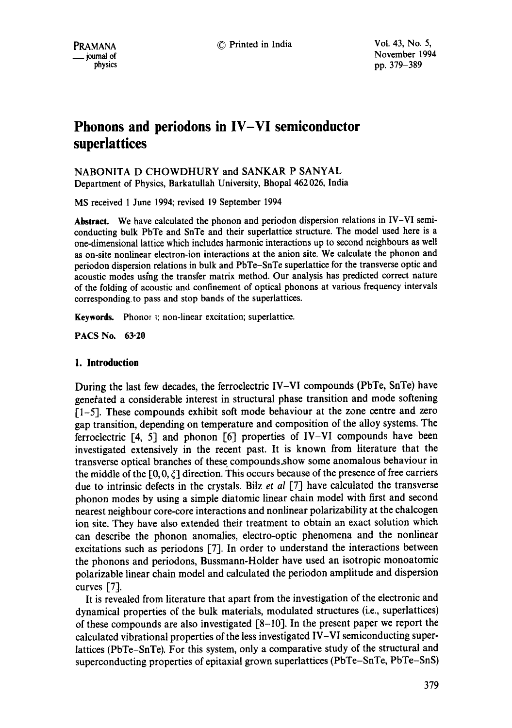$\frac{1}{2}$  journal of physics  $\frac{1994}{2}$  hypersites  $\frac{1994}{2}$ pp. 379-389

# **Phonons and periodons in IV-VI semiconductor superlattices**

NABONITA D CHOWDHURY and SANKAR P SANYAL Department of Physics, Barkatullah University, Bhopal 462 026, India

MS received 1 June 1994; revised 19 September 1994

**Abstract.** We have calculated the phonon and periodon dispersion relations in IV-VI semiconducting bulk PbTe and SnTe and their superlattice structure. The model used here is a one-dimensional lattice which includes harmonic interactions up to second neighbours as well as on-site nonlinear electron-ion interactions at the anion site. We calculate the phonon and periodon dispersion relations in bulk and PbTe-SnTe superlattice for the transverse optic and acoustic modes using the transfer matrix method. Our analysis has predicted correct nature of the folding of acoustic and confinement of optical phonons at various frequency intervals corresponding, to pass and stop bands of the superlattices.

**Keywords.** Phonor s; non-linear excitation; superlattice.

PACS No. 63-20

# **1. Introduction**

During the last few decades, the ferroelectric IV-VI compounds (PbTe, SnTe) have generated a considerable interest in structural phase transition and mode softening 11-5]. These compounds exhibit soft mode behaviour at the zone centre and zero gap transition, depending on temperature and composition of the alloy systems. The ferroelectric [4, 5] and phonon [6] properties of IV-VI compounds have been investigated extensively in the recent past. It is known from literature that the transverse optical branches of these compounds.show some anomalous behaviour in the middle of the  $[0, 0, \xi]$  direction. This occurs because of the presence of free carriers due to intrinsic defects in the crystals. Bilz *et al* 17] have calculated the transverse phonon modes by using a simple diatomic linear chain model with first and second nearest neighbour core-core interactions and nonlinear polarizability at the chalcogen ion site. They have also extended their treatment to obtain an exact solution which can describe the phonon anomalies, electro-optic phenomena and the nonlinear excitations such as periodons [7]. In order to understand the interactions between the phonons and periodons, Bussmann-Holder have used an isotropic monoatomic polarizable linear chain model and calculated the periodon amplitude and dispersion curves  $[7]$ .

It is revealed from literature that apart from the investigation of the electronic and dynamical properties of the bulk materials, modulated structures (i.e., superlattices) of these compounds are also investigated  $[8-10]$ . In the present paper we report the calculated vibrational properties of the less investigated IV-VI semiconducting superlattices (PbTe-SnTe). For this system, only a comparative study of the structural and superconducting properties of epitaxial grown superlattices (PbTe-SnTe, PbTe-SnS)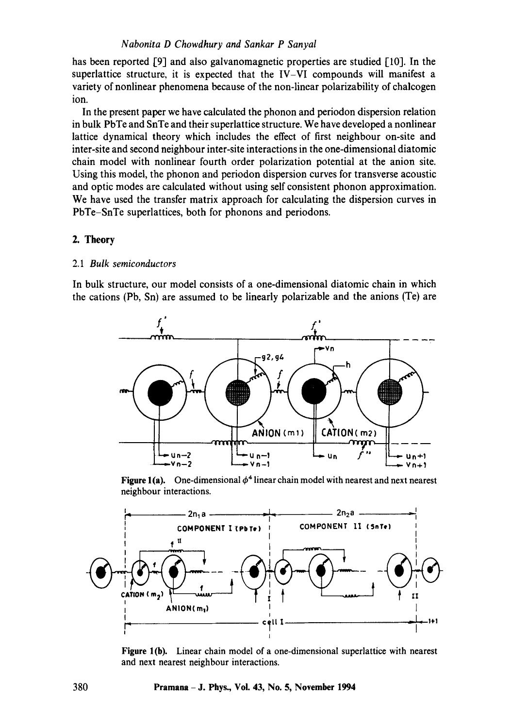has been reported [9] and also galvanomagnetic properties are studied [10]. In the superlattice structure, it is expected that the IV-VI compounds will manifest a variety of nonlinear phenomena because of the non-linear polarizability of chalcogen ion.

In the present paper we have calculated the phonon and periodon dispersion relation in bulk PbTe and SnTe and their superlattice structure. We have developed a nonlinear lattice dynamical theory which includes the effect of first neighbour on-site and inter-site and second neighbour inter-site interactions in the one-dimensional diatomic chain model with nonlinear fourth order polarization potential at the anion site. Using this model, the phonon and periodon dispersion curves for transverse acoustic and optic modes are calculated without using self consistent phonon approximation. We have used the transfer matrix approach for calculating the dispersion curves in PbTe-SnTe superlattices, both for phonons and periodons.

# 2. **Theory**

## 2.1 *Bulk semiconductors*

In bulk structure, our model consists of a one-dimensional diatomic chain in which the cations (Pb, Sn) are assumed to be linearly polarizable and the anions (Te) are



**Figure 1(a).** One-dimensional  $\phi^4$  linear chain model with nearest and next nearest neighbour interactions.



Figure 1(b). Linear chain model of a one-dimensional superlattice with nearest and next nearest neighbour interactions.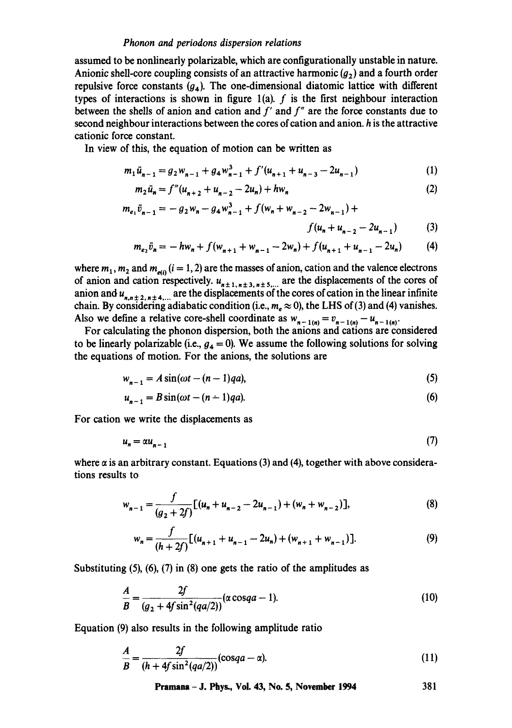assumed to be nonlinearly polarizable, which are configurationally unstable in nature. Anionic shell-core coupling consists of an attractive harmonic  $(q_2)$  and a fourth order repulsive force constants  $(q<sub>4</sub>)$ . The one-dimensional diatomic lattice with different types of interactions is shown in figure  $1(a)$ . f is the first neighbour interaction between the shells of anion and cation and  $f'$  and  $f''$  are the force constants due to second neighbour interactions between the cores of cation and anion, h is the attractive cationic force constant.

In view of this, the equation of motion can be written as

$$
m_1\ddot{u}_{n-1} = g_2 w_{n-1} + g_4 w_{n-1}^3 + f'(u_{n+1} + u_{n-3} - 2u_{n-1})
$$
\n(1)

$$
m_2\ddot{u}_n = f''(u_{n+2} + u_{n-2} - 2u_n) + hw_n \tag{2}
$$

$$
m_{e_1}\ddot{v}_{n-1} = -g_2w_n - g_4w_{n-1}^3 + f(w_n + w_{n-2} - 2w_{n-1}) +
$$
  

$$
f(u_n + u_{n-2} - 2u_{n-1})
$$
 (3)

$$
m_{e_2}\ddot{v}_n = -hw_n + f(w_{n+1} + w_{n-1} - 2w_n) + f(u_{n+1} + u_{n-1} - 2u_n)
$$
 (4)

where  $m_1$ ,  $m_2$  and  $m_{\text{eff}}$  (i = 1, 2) are the masses of anion, cation and the valence electrons of anion and cation respectively,  $u_{n+1,n+3,n+5}$  are the displacements of the cores of anion and  $u_{n+1}$ ,  $_{n+4}$  are the displacements of the cores of cation in the linear infinite chain. By considering adiabatic condition (i.e.,  $m_e \approx 0$ ), the LHS of (3) and (4) vanishes. Also we define a relative core-shell coordinate as  $w_{n-1(n)} = v_{n-1(n)} - u_{n-1(n)}$ .

For calculating the phonon dispersion, both the anions and cations are considered to be linearly polarizable (i.e.,  $g_4 = 0$ ). We assume the following solutions for solving the equations of motion. For the anions, the solutions are

$$
w_{n-1} = A \sin(\omega t - (n-1)qa),
$$
 (5)

$$
u_{n-1} = B\sin(\omega t - (n-1)qa). \tag{6}
$$

For cation we write the displacements as

$$
u_n = \alpha u_{n-1} \tag{7}
$$

where  $\alpha$  is an arbitrary constant. Equations (3) and (4), together with above considerations results to

$$
w_{n-1} = \frac{f}{(g_2 + 2f)}[(u_n + u_{n-2} - 2u_{n-1}) + (w_n + w_{n-2})],
$$
\n(8)

$$
w_n = \frac{f}{(h+2f)}[(u_{n+1} + u_{n-1} - 2u_n) + (w_{n+1} + w_{n-1})].
$$
\n(9)

Substituting (5), (6), (7) in (8) one gets the ratio of the amplitudes as

$$
\frac{A}{B} = \frac{2f}{(g_2 + 4f\sin^2(qa/2))} (\alpha \cos qa - 1).
$$
 (10)

Equation (9) also results in the following amplitude ratio

$$
\frac{A}{B} = \frac{2f}{(h + 4f\sin^2(qa/2))}(\cos qa - \alpha). \tag{11}
$$

**Pramana - J. Phys., Vol. 43, No. 5, November 1994 381**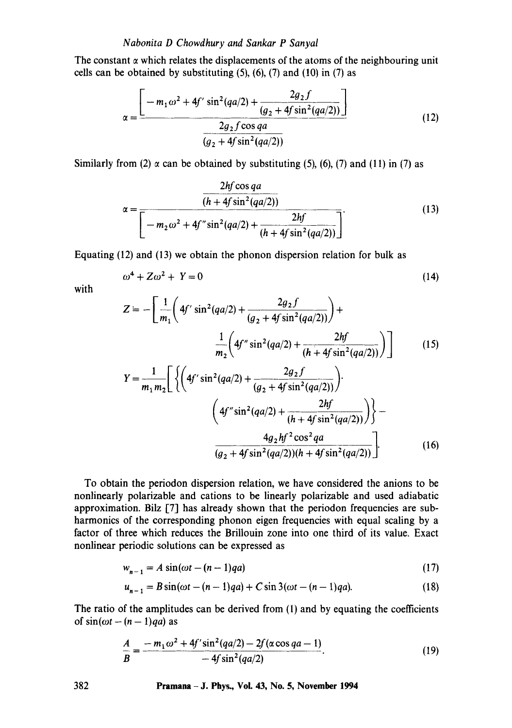The constant  $\alpha$  which relates the displacements of the atoms of the neighbouring unit cells can be obtained by substituting  $(5)$ ,  $(6)$ ,  $(7)$  and  $(10)$  in  $(7)$  as

$$
\alpha = \frac{\left[-m_1\omega^2 + 4f'\sin^2(qa/2) + \frac{2g_2f}{(g_2 + 4f\sin^2(qa/2))}\right]}{\frac{2g_2f\cos qa}{(g_2 + 4f\sin^2(qa/2))}}
$$
(12)

Similarly from (2)  $\alpha$  can be obtained by substituting (5), (6), (7) and (11) in (7) as

$$
\alpha = \frac{\frac{2hf \cos qa}{(h + 4f \sin^2(qa/2))}}{\left[ -m_2\omega^2 + 4f'' \sin^2(qa/2) + \frac{2hf}{(h + 4f \sin^2(qa/2))} \right]}. \tag{13}
$$

Equating (12) and (13) we obtain the phonon dispersion relation for bulk as

$$
\omega^4 + Z\omega^2 + Y = 0\tag{14}
$$

with

$$
Z = -\left[\frac{1}{m_1}\left(4f'\sin^2(qa/2) + \frac{2g_2f}{(g_2 + 4f\sin^2(qa/2))}\right) + \frac{1}{m_2}\left(4f''\sin^2(qa/2) + \frac{2hf}{(h + 4f\sin^2(qa/2))}\right)\right]
$$
(15)  

$$
Y = \frac{1}{m_1m_2}\left[\left\{\left(4f'\sin^2(qa/2) + \frac{2g_2f}{(g_2 + 4f\sin^2(qa/2))}\right) + \frac{2hf}{(h + 4f\sin^2(qa/2))}\right\} - \frac{4g_2hf^2\cos^2qa}{(g_2 + 4f\sin^2(qa/2))(h + 4f\sin^2(qa/2))}\right].
$$
(16)

To obtain the periodon dispersion relation, we have considered the anions to be nonlinearly polarizable and cations to be linearly polarizable and used adiabatic approximation. Bilz [7] has already shown that the periodon frequencies are subharmonics of the corresponding phonon eigen frequencies with equal scaling by a factor of three which reduces the Brillouin zone into one third of its value. Exact nonlinear periodic solutions can be expressed as

$$
w_{n-1} = A \sin(\omega t - (n-1)qa) \tag{17}
$$

$$
u_{n-1} = B\sin(\omega t - (n-1)qa) + C\sin 3(\omega t - (n-1)qa).
$$
 (18)

The ratio of the amplitudes can be derived from (1) and by equating the coefficients of  $sin(\omega t - (n-1)qa)$  as

$$
\frac{A}{B} = \frac{-m_1\omega^2 + 4f'\sin^2(qa/2) - 2f(\alpha\cos qa - 1)}{-4f\sin^2(qa/2)}.
$$
\n(19)

**382 Pramana - J. Phys., Vol. 43, No. 5, November 1994**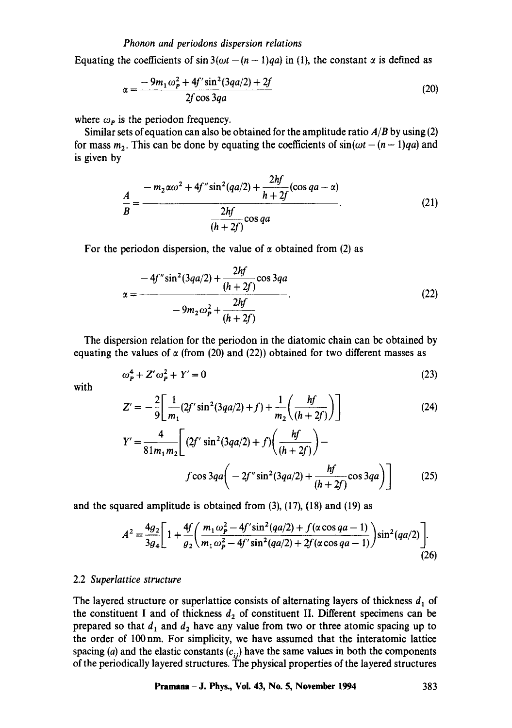Equating the coefficients of  $\sin 3(\omega t - (n-1)qa)$  in (1), the constant  $\alpha$  is defined as

$$
\alpha = \frac{-9m_1\omega_P^2 + 4f'\sin^2(3qa/2) + 2f}{2f\cos 3qa} \tag{20}
$$

where  $\omega_{\mathbf{p}}$  is the periodon frequency.

Similar sets of equation can also be obtained for the amplitude ratio *A/B* by using (2) for mass  $m_2$ . This can be done by equating the coefficients of  $sin(\omega t - (n-1)qa)$  and is given by

$$
\frac{A}{B} = \frac{-m_2 \alpha \omega^2 + 4f'' \sin^2(qa/2) + \frac{2hf}{h+2f}(\cos qa - \alpha)}{\frac{2hf}{(h+2f)}\cos qa}.
$$
\n(21)

For the periodon dispersion, the value of  $\alpha$  obtained from (2) as

$$
\alpha = \frac{-4f''\sin^2(3qa/2) + \frac{2hf}{(h+2f)}\cos 3qa}{-9m_2\omega_p^2 + \frac{2hf}{(h+2f)}}.
$$
\n(22)

The dispersion relation for the periodon in the diatomic chain can be obtained by equating the values of  $\alpha$  (from (20) and (22)) obtained for two different masses as

$$
\omega_p^4 + Z'\omega_p^2 + Y' = 0\tag{23}
$$

with

$$
Z' = -\frac{2}{9} \left[ \frac{1}{m_1} (2f' \sin^2(3qa/2) + f) + \frac{1}{m_2} \left( \frac{hf}{(h+2f)} \right) \right]
$$
(24)

$$
Y' = \frac{4}{81m_1m_2} \left[ (2f' \sin^2(3qa/2) + f) \left( \frac{hf'}{(h+2f)} \right) - f \cos 3qa \left( -2f'' \sin^2(3qa/2) + \frac{hf'}{(h+2f)} \cos 3qa \right) \right]
$$
(25)

and the squared amplitude is obtained from (3), (17), (18) and (19) as

$$
A^{2} = \frac{4g_{2}}{3g_{4}} \left[ 1 + \frac{4f}{g_{2}} \left( \frac{m_{1} \omega_{P}^{2} - 4f' \sin^{2}(qa/2) + f(\alpha \cos qa - 1)}{m_{1} \omega_{P}^{2} - 4f' \sin^{2}(qa/2) + 2f(\alpha \cos qa - 1)} \right) \sin^{2}(qa/2) \right].
$$
\n(26)

#### 2.2 *Superlattice structure*

The layered structure or superlattice consists of alternating layers of thickness  $d_1$  of the constituent I and of thickness  $d_2$  of constituent II. Different specimens can be prepared so that  $d_1$  and  $d_2$  have any value from two or three atomic spacing up to the order of 100nm. For simplicity, we have assumed that the interatomic lattice spacing (a) and the elastic constants  $(c_{ij})$  have the same values in both the components of the periodically layered structures. The physical properties of the layered structures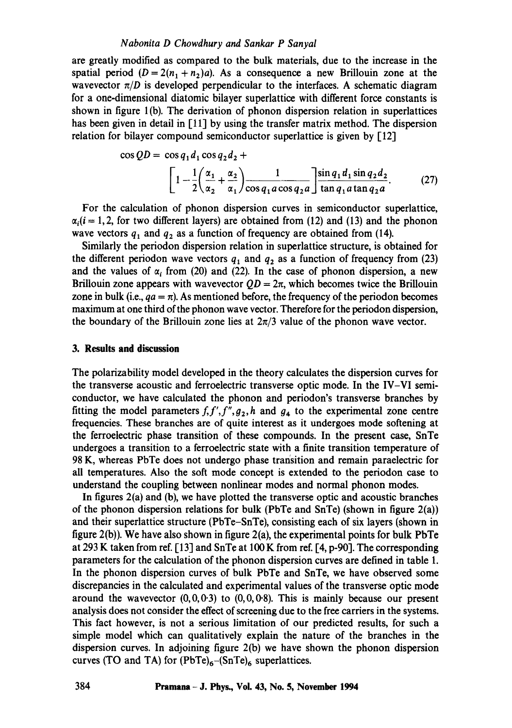#### *Nabonita D Chowdhury and Sankar P Sanyal*

are greatly modified as compared to the bulk materials, due to the increase in the spatial period  $(D = 2(n_1 + n_2)a)$ . As a consequence a new Brillouin zone at the wavevector  $\pi/D$  is developed perpendicular to the interfaces. A schematic diagram for a one-dimensional diatomic bilayer superlattice with different force constants is shown in figure 1 (b). The derivation of phonon dispersion relation in superlattices has been given in detail in [11] by using the transfer matrix method. The dispersion relation for bilayer compound semiconductor superlattice is given by  $[12]$ 

$$
\cos QD = \cos q_1 d_1 \cos q_2 d_2 +
$$
  
\n
$$
\left[1 - \frac{1}{2} \left(\frac{\alpha_1}{\alpha_2} + \frac{\alpha_2}{\alpha_1}\right) \frac{1}{\cos q_1 a \cos q_2 a}\right] \frac{\sin q_1 d_1 \sin q_2 d_2}{\tan q_1 a \tan q_2 a}.
$$
 (27)

For the calculation of phonon dispersion curves in semiconductor superlattice,  $\alpha_i(i = 1, 2,$  for two different layers) are obtained from (12) and (13) and the phonon wave vectors  $q_1$  and  $q_2$  as a function of frequency are obtained from (14).

Similarly the periodon dispersion relation in superlattice structure, is obtained for the different periodon wave vectors  $q_1$  and  $q_2$  as a function of frequency from (23) and the values of  $\alpha_i$  from (20) and (22). In the case of phonon dispersion, a new Brillouin zone appears with wavevector  $QD = 2\pi$ , which becomes twice the Brillouin zone in bulk (i.e.,  $qa = \pi$ ). As mentioned before, the frequency of the periodon becomes maximum at one third of the phonon wave vector. Therefore for the periodon dispersion, the boundary of the Brillouin zone lies at  $2\pi/3$  value of the phonon wave vector.

## **3. Results and discussion**

The polarizability model developed in the theory calculates the dispersion curves for the transverse acoustic and ferroelectric transverse optic mode. In the IV-VI semiconductor, we have calculated the phonon and periodon's transverse branches by fitting the model parameters  $f, f', f'', g_2, h$  and  $g_4$  to the experimental zone centre frequencies. These branches are of quite interest as it undergoes mode softening at the ferroelectric phase transition of these compounds. In the present case, SnTe undergoes a transition to a ferroelectric state with a finite transition temperature of 98 K, whereas PbTe does not undergo phase transition and remain paraelectric for all temperatures. Also the soft mode concept is extended to the periodon case to understand the coupling between nonlinear modes and normal phonon modes.

In figures 2(a) and (b), we have plotted the transverse optic and acoustic branches of the phonon dispersion relations for bulk (PbTe and SnTe) (shown in figure  $2(a)$ ) and their superlattice structure (PbTe-SnTe), consisting each of six layers (shown in figure  $2(b)$ ). We have also shown in figure  $2(a)$ , the experimental points for bulk PbTe at 293 K taken from ref. [13] and SnTe at 100 K from ref. [4, p-90]. The corresponding parameters for the calculation of the phonon dispersion curves are defined in table 1. In the phonon dispersion curves of bulk PbTe and SnTe, we have observed some discrepancies in the calculated and experimental values of the transverse optic mode around the wavevector  $(0,0,0.3)$  to  $(0,0,0.8)$ . This is mainly because our present analysis does not consider the effect of screening due to the free carriers in the systems. This fact however, is not a serious limitation of our predicted results, for such a simple model which can qualitatively explain the nature of the branches in the dispersion curves. In adjoining figure 2(b) we have shown the phonon dispersion curves (TO and TA) for  $(PbTe)_6-(SnTe)_6$  superlattices.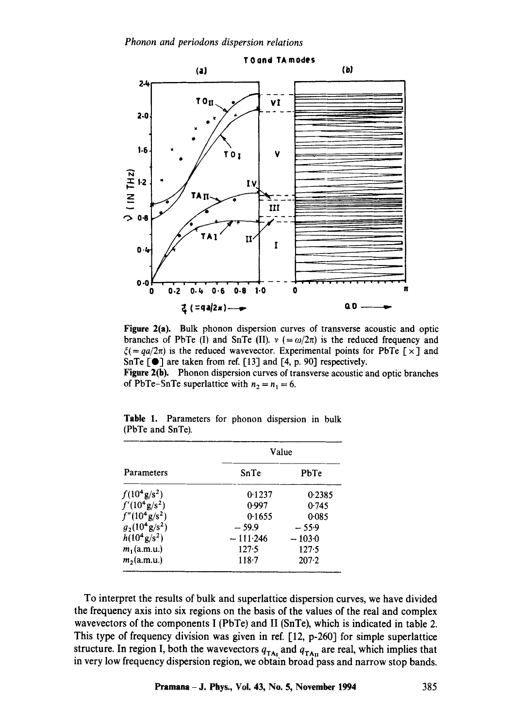

Figure 2(a). Bulk phonon dispersion curves of transverse acoustic and optic branches of PbTe (I) and SnTe (II).  $v (= \omega/2\pi)$  is the reduced frequency and  $\xi$ (= *qa/2* $\pi$ ) is the reduced wavevector. Experimental points for PbTe [  $\times$  ] and SnTe  $[\bullet]$  are taken from ref. [13] and [4, p. 90] respectively.

Figure 2(b). Phonon dispersion curves of transverse acoustic and optic branches of PbTe-SnTe superlattice with  $n_2 = n_1 = 6$ .

| Parameters<br>$f(10^4 \text{ g/s}^2)$ | Value      |           |  |  |
|---------------------------------------|------------|-----------|--|--|
|                                       | SnTe       | PbTe      |  |  |
|                                       | 0.1237     | 0.2385    |  |  |
| $f'(10^4 \text{ g/s}^2)$              | 0.997      | 0.745     |  |  |
| $f''(10^4 \text{ g/s}^2)$             | 0.1655     | 0.085     |  |  |
| $g_2(10^4 \text{ g/s}^2)$             | $-59.9$    | $-55.9$   |  |  |
| $h(10^4 \text{ g/s}^2)$               | $-111.246$ | $-103.0$  |  |  |
| $m_1$ (a.m.u.)                        | 127.5      | 127.5     |  |  |
| $m_2$ (a.m.u.)                        | $118 - 7$  | $207 - 2$ |  |  |

Table 1. Parameters for phonon dispersion in bulk (PbTe and SnTe).

To interpret the results of bulk and superlattice dispersion curves, we have divided the frequency axis into six regions on the basis of the values of the real and complex wavevectors of the components I (PbTe) and II (SnTe), which is indicated in table 2. This type of frequency division was given in ref. [12, p-260] for simple superlattice structure. In region I, both the wavevectors  $q_{TA_I}$  and  $q_{TA_{II}}$  are real, which implies that in very low frequency dispersion region, we obtain broad pass and narrow stop bands.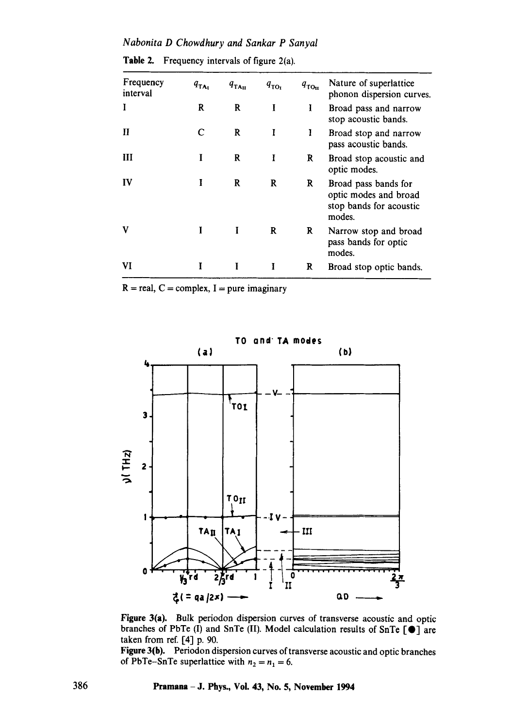*Nabonita D Chowdhury and Sankar P Sanyal* 

| Frequency<br>interval | $q_{TA_1}$ | $q_{\text{TA}_{\text{II}}}$ | $q_{\text{TOr}}$ | $q_{\text{tot}}$ | Nature of superlattice<br>phonon dispersion curves.                                |
|-----------------------|------------|-----------------------------|------------------|------------------|------------------------------------------------------------------------------------|
| Ĭ                     | R          | R                           | I                | I                | Broad pass and narrow<br>stop acoustic bands.                                      |
| Н                     | C          | R                           | I                | ı                | Broad stop and narrow<br>pass acoustic bands.                                      |
| Ш                     |            | R                           | I                | R                | Broad stop acoustic and<br>optic modes.                                            |
| IV                    | I          | R                           | R                | R                | Broad pass bands for<br>optic modes and broad<br>stop bands for acoustic<br>modes. |
| v                     |            |                             | R                | R                | Narrow stop and broad<br>pass bands for optic<br>modes.                            |
| VI                    |            | I                           | I                | R                | Broad stop optic bands.                                                            |

**Table** 2. Frequency intervals of figure 2(a).

 $R = real, C = complex, I = pure imaginary$ 



**Figure** 3(a). Bulk periodon dispersion curves of transverse acoustic and optic branches of PbTe (I) and SnTe (II). Model calculation results of SnTe  $\lbrack \bullet \rbrack$  are taken from ref. [4] p. 90.

Figure 3(b). Periodon dispersion curves of transverse acoustic and optic branches of PbTe-SnTe superlattice with  $n_2 = n_1 = 6$ .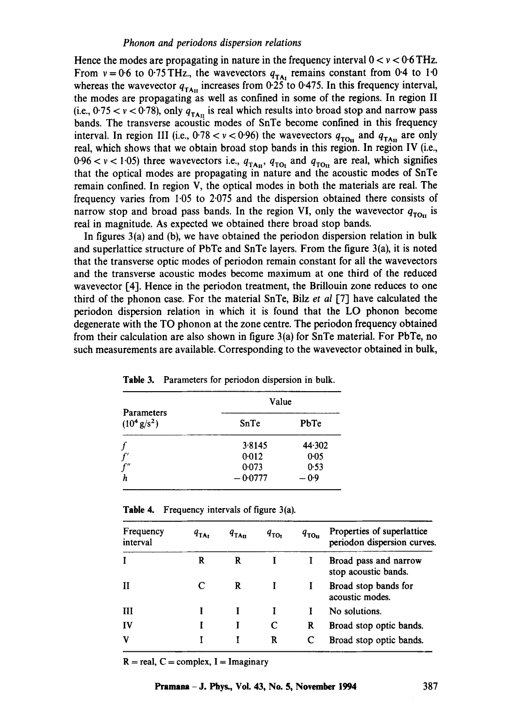Hence the modes are propagating in nature in the frequency interval  $0 < v < 0.6$  THz. From  $v = 0.6$  to 0.75 THz., the wavevectors  $q_{TA}$  remains constant from 0.4 to 1.0 whereas the wavevector  $q_{TAn}$  increases from 0.25 to 0.475. In this frequency interval, the modes are propagating as well as confined in some of the regions. In region II (i.e.,  $0.75 < v < 0.78$ ), only  $q_{\text{TAn}}$  is real which results into broad stop and narrow pass bands. The transverse acoustic modes of SnTe become confined in this frequency interval. In region III (i.e.,  $0.78 < v < 0.96$ ) the wavevectors  $q_{\text{TO}_{II}}$  and  $q_{\text{TA}_{II}}$  are only real, which shows that we obtain broad stop bands in this region. In region IV (i.e., 0-96  $<$  v  $<$  1.05) three wavevectors i.e.,  $q_{\text{TA}_{II}}$ ,  $q_{\text{TO}_{I}}$  and  $q_{\text{TO}_{II}}$  are real, which signifies that the optical modes are propagating in nature and the acoustic modes of SnTe remain confined. In region V, the optical modes in both the materials are real. The frequency varies from 1.05 to 2.075 and the dispersion obtained there consists of narrow stop and broad pass bands. In the region VI, only the wavevector  $q_{\text{TO}_1}$  is real in magnitude. As expected we obtained there broad stop bands.

In figures 3(a) and (b), we have obtained the periodon dispersion relation in bulk and superlattice structure of PbTe and SnTe layers. From the figure 3(a), it is noted that the transverse optic modes of periodon remain constant for all the wavevectors and the transverse acoustic modes become maximum at one third of the reduced wavevector [4]. Hence in the periodon treatment, the Brillouin zone reduces to one third of the phonon case. For the material SnTe, Bilz *et al* [7] have calculated the periodon dispersion relation in which it is found that the LO phonon become degenerate with the TO phonon at the zone centre. The periodon frequency obtained from their calculation are also shown in figure 3(a) for SnTe material. For PbTe, no such measurements are available. Corresponding to the wavevector obtained in bulk,

|                                           | Value     |                |  |  |
|-------------------------------------------|-----------|----------------|--|--|
| Parameters<br>$(10^4 \text{ g/s}^2)$<br>f | SnTe      | PbTe<br>44.302 |  |  |
|                                           | 3.8145    |                |  |  |
| $f^\prime$                                | 0.012     | 0.05           |  |  |
| f''                                       | 0.073     | 0.53           |  |  |
| h                                         | $-0.0777$ | $-0.9$         |  |  |

| Table 3. | Parameters for periodon dispersion in bulk. |  |  |  |
|----------|---------------------------------------------|--|--|--|
|          |                                             |  |  |  |

|  | <b>Table 4.</b> Frequency intervals of figure $3(a)$ . |  |  |  |
|--|--------------------------------------------------------|--|--|--|
|--|--------------------------------------------------------|--|--|--|

| Frequency<br>interval | $q_{\text{TA}}$ | $q_{\text{TA}_{\text{II}}}$ | $q_{\text{TO}}$ | $q_{\texttt{TO}_{\texttt{II}}}$ | Properties of superlattice<br>periodon dispersion curves. |
|-----------------------|-----------------|-----------------------------|-----------------|---------------------------------|-----------------------------------------------------------|
|                       | R               | R                           |                 |                                 | Broad pass and narrow<br>stop acoustic bands.             |
|                       |                 | R                           |                 |                                 | Broad stop bands for<br>acoustic modes.                   |
| ш                     |                 |                             |                 |                                 | No solutions.                                             |
| $\mathbf{IV}$         |                 |                             | C               | R                               | Broad stop optic bands.                                   |
| v                     |                 |                             | R               |                                 | Broad stop optic bands.                                   |

 $R = real$ ,  $C = complex$ ,  $I = Imaginary$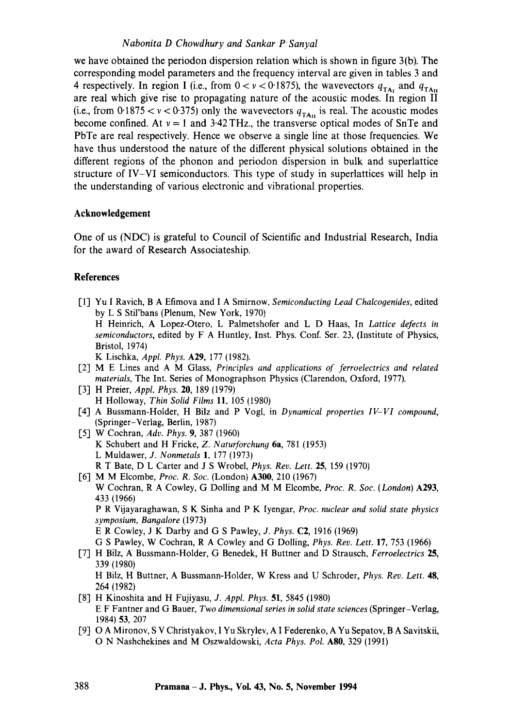# *Nabonita D Chowdhury and Sankar P Sanyal*

we have obtained the periodon dispersion relation which is shown in figure 3(b). The corresponding model parameters and the frequency interval are given in tables 3 and 4 respectively. In region I (i.e., from  $0 < v < 0.1875$ ), the wavevectors  $q_{T_A}$  and  $q_{T_{A}u}$ are real which give rise to propagating nature of the acoustic modes. In region II (i.e., from 0.1875  $< v < 0.375$ ) only the wavevectors  $q_{TAn}$  is real. The acoustic modes become confined. At  $v = 1$  and 3.42 THz., the transverse optical modes of SnTe and PbTe are real respectively. Hence we observe a single line at those frequencies. We have thus understood the nature of the different physical solutions obtained in the different regions of the phonon and periodon dispersion in bulk and superlattice structure of IV-VI semiconductors. This type of study in superlattices will help in the understanding of various electronic and vibrational properties.

## **Acknowledgement**

One of us (NDC) is grateful to Council of Scientific and Industrial Research, India for the award of Research Associateship.

## **References**

- [1] Yu I Ravich, B A Efimova and I A Smirnow, *Semiconducting Lead Chalcogenides*, edited by L S Stil'bans (Plenum, New York, 1970) H Heinrich, A Lopez-Otero, L Palmetshofer and L D Haas, In *Lattice defects in semiconductors,* edited by F A Huntley, Inst. Phys. Conf. Ser. 23, (Institute of Physics, Bristol, 1974) K Lischka, *Appl. Phys.* A29, 177 (1982).
- [2] M E Lines and A M Glass, *Principles and applications of ferroetectrics and related materials,* The Int. Series of Monographson Physics (Clarendon, Oxford, 1977).
- [3] H Preier, *Appl. Phys.* 20, 189 (1979) H Holloway, *Thin Solid Films* 11, 105 (1980)
- [4] A Bussmann-Holder, H Bilz and P Vogl, in *Dynamical properties IV-VI compound,*  (Springer-Verlag, Berlin, 1987)
- [5] W Cochran, *Adv. Phys.* 9, 387 (1960) K Schubert and H Fricke, *Z. Naturforchun9* 6a, 781 (1953) L Muldawer, *J. Nonmetals* 1, 177 (1973) R T Bate, D L Carter and J S Wrobel, *Phys. Rev. Lett.* 25, 159 (1970)
- [6] M M Elcombe, *Proc. R. Soc.* (London) A300, 210 (1967) W Cochran, R A Cowley, G Dolling and M M Elcombe, *Proc. R. Soc. (London)* A293, 433 (1966) P R Vijayaraghawan, S K Sinha and P K Iyengar, *Proc. nuclear and solid state physics symposium, Bangalore* (1973) E R Cowley, J K Darby and G S Pawley, *J. Phys.* C2, 1916 (1969) G S Pawley, W Cochran, R A Cowley and G Dolling, *Phys. Rev. Lett.* 17, 753 (1966)
- [7] H Bilz, k/Bussmann-Holder, G Benedek, H Buttner and D Strausch, *Ferroelectrics* 25, 339 (1980) H Bilz, H Buttner, A Bussmann-Holder, W Kress and U Schroder, *Phys. Rev. Lett.* 48,
- 264 (1982) 1-8] H Kinoshita and H Fujiyasu, *J. Appl. Phys.* 51, 5845 (1980) E F Fantner and G Bauer, *Two dimensional series in solid state sciences* (Springer-Verlag, 1984) 53, 207
- 1-9] O A Mironov, S V Christyakov, I Yu Skrylev, A I Federenko, A Yu Sepatov, B A Savitskii, O N Nashchekines and M Oszwaldowski, *Acta Phys. Pol. ASO,* 329 (1991)